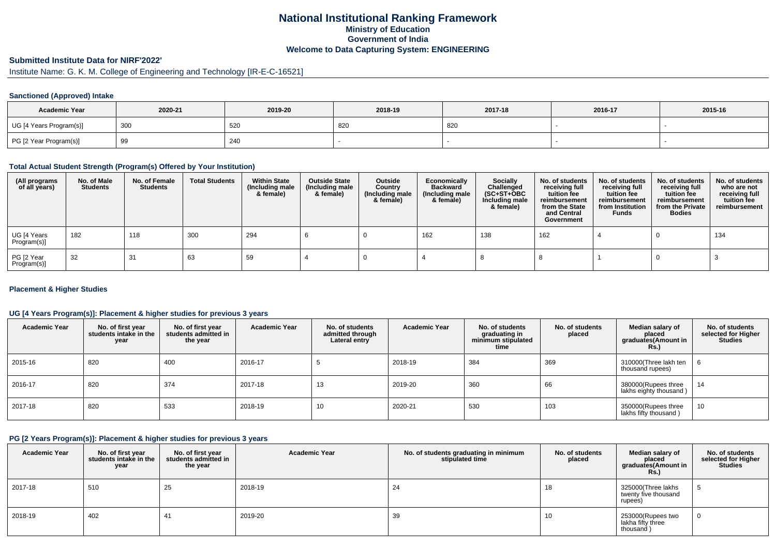## **National Institutional Ranking FrameworkMinistry of Education Government of IndiaWelcome to Data Capturing System: ENGINEERING**

# **Submitted Institute Data for NIRF'2022'**

# Institute Name: G. K. M. College of Engineering and Technology [IR-E-C-16521]

#### **Sanctioned (Approved) Intake**

| <b>Academic Year</b>    | 2020-21  | 2019-20 | 2018-19 | 2017-18 | 2016-17 | 2015-16 |
|-------------------------|----------|---------|---------|---------|---------|---------|
| UG [4 Years Program(s)] | 300      | 520     | -820    | 820     |         |         |
| PG [2 Year Program(s)]  | ac<br>ອອ | 240     |         |         |         |         |

#### **Total Actual Student Strength (Program(s) Offered by Your Institution)**

| (All programs<br>of all years) | No. of Male<br><b>Students</b> | No. of Female<br>Students | <b>Total Students</b> | <b>Within State</b><br>(Including male<br>& female) | <b>Outside State</b><br>(Including male<br>& female) | Outside<br>Country<br>(Including male<br>& female) | Economically<br><b>Backward</b><br>(Including male<br>& female) | <b>Socially</b><br>Challenged<br>$(SC+ST+OBC)$<br>Including male<br>& female) | No. of students<br>receiving full<br>tuition fee<br>reimbursement<br>from the State<br>and Central<br>Government | No. of students<br>receiving full<br>tuition fee<br>reimbursement<br>from Institution<br><b>Funds</b> | No. of students<br>receiving full<br>tuition fee<br>reimbursement<br>from the Private<br><b>Bodies</b> | No. of students<br>who are not<br>receiving full<br>tuition fee<br>reimbursement |
|--------------------------------|--------------------------------|---------------------------|-----------------------|-----------------------------------------------------|------------------------------------------------------|----------------------------------------------------|-----------------------------------------------------------------|-------------------------------------------------------------------------------|------------------------------------------------------------------------------------------------------------------|-------------------------------------------------------------------------------------------------------|--------------------------------------------------------------------------------------------------------|----------------------------------------------------------------------------------|
| UG [4 Years<br>Program(s)]     | 182                            | 118                       | 300                   | 294                                                 |                                                      |                                                    | 162                                                             | 138                                                                           | 162                                                                                                              |                                                                                                       |                                                                                                        | 134                                                                              |
| PG [2 Year<br>Program(s)]      | -32                            | 31                        | 63                    | 59                                                  |                                                      |                                                    |                                                                 |                                                                               |                                                                                                                  |                                                                                                       |                                                                                                        |                                                                                  |

#### **Placement & Higher Studies**

#### **UG [4 Years Program(s)]: Placement & higher studies for previous 3 years**

| <b>Academic Year</b> | No. of first year<br>students intake in the<br>year | No. of first year<br>students admitted in<br>the year | <b>Academic Year</b> | No. of students<br>admitted through<br>Lateral entry | <b>Academic Year</b> | No. of students<br>graduating in<br>minimum stipulated<br>time | No. of students<br>placed | Median salary of<br>placed<br>graduates(Amount in<br>Rs.) | No. of students<br>selected for Higher<br><b>Studies</b> |
|----------------------|-----------------------------------------------------|-------------------------------------------------------|----------------------|------------------------------------------------------|----------------------|----------------------------------------------------------------|---------------------------|-----------------------------------------------------------|----------------------------------------------------------|
| 2015-16              | 820                                                 | 400                                                   | 2016-17              |                                                      | 2018-19              | 384                                                            | 369                       | 310000(Three lakh ten<br>thousand rupees)                 |                                                          |
| 2016-17              | 820                                                 | 374                                                   | 2017-18              | 13                                                   | 2019-20              | 360                                                            | 66                        | 380000(Rupees three<br>lakhs eighty thousand)             | 14                                                       |
| 2017-18              | 820                                                 | 533                                                   | 2018-19              | 10                                                   | 2020-21              | 530                                                            | 103                       | 350000(Rupees three<br>lakhs fifty thousand)              | 10                                                       |

#### **PG [2 Years Program(s)]: Placement & higher studies for previous 3 years**

| <b>Academic Year</b> | No. of first year<br>students intake in the<br>year | No. of first year<br>students admitted in<br>the year | <b>Academic Year</b> | No. of students graduating in minimum<br>stipulated time | No. of students<br>placed | Median salary of<br>placed<br>graduates(Amount in<br>Rs. | No. of students<br>selected for Higher<br><b>Studies</b> |
|----------------------|-----------------------------------------------------|-------------------------------------------------------|----------------------|----------------------------------------------------------|---------------------------|----------------------------------------------------------|----------------------------------------------------------|
| 2017-18              | 510                                                 | 25                                                    | 2018-19              | 24                                                       | 18                        | 325000(Three lakhs<br>twenty five thousand<br>rupees)    | - 1                                                      |
| 2018-19              | 402                                                 | 41                                                    | 2019-20              | 39                                                       | 10                        | 253000(Rupees two<br>lakha fifty three<br>thousand)      | 0                                                        |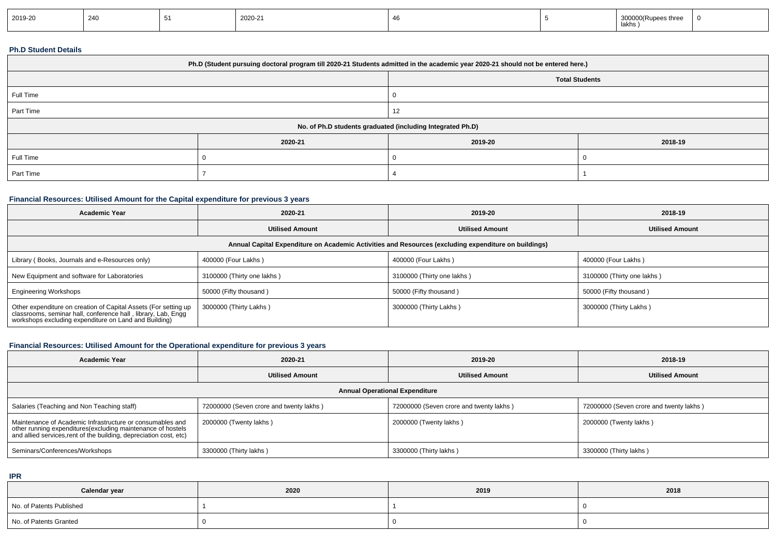| .<br>lakhs, | 2019-20 | 240 | 2020-21 |  |  | 300000(Rupees three |  |
|-------------|---------|-----|---------|--|--|---------------------|--|
|-------------|---------|-----|---------|--|--|---------------------|--|

#### **Ph.D Student Details**

| Ph.D (Student pursuing doctoral program till 2020-21 Students admitted in the academic year 2020-21 should not be entered here.) |         |         |                       |  |  |
|----------------------------------------------------------------------------------------------------------------------------------|---------|---------|-----------------------|--|--|
|                                                                                                                                  |         |         | <b>Total Students</b> |  |  |
| Full Time                                                                                                                        |         |         |                       |  |  |
| Part Time                                                                                                                        |         |         |                       |  |  |
| No. of Ph.D students graduated (including Integrated Ph.D)                                                                       |         |         |                       |  |  |
|                                                                                                                                  | 2020-21 | 2019-20 | 2018-19               |  |  |
| Full Time                                                                                                                        |         |         |                       |  |  |
| Part Time                                                                                                                        |         |         |                       |  |  |

## **Financial Resources: Utilised Amount for the Capital expenditure for previous 3 years**

| <b>Academic Year</b>                                                                                                                                                                      | 2020-21                    | 2019-20                    | 2018-19                    |  |  |  |  |
|-------------------------------------------------------------------------------------------------------------------------------------------------------------------------------------------|----------------------------|----------------------------|----------------------------|--|--|--|--|
|                                                                                                                                                                                           | <b>Utilised Amount</b>     | <b>Utilised Amount</b>     | <b>Utilised Amount</b>     |  |  |  |  |
| Annual Capital Expenditure on Academic Activities and Resources (excluding expenditure on buildings)                                                                                      |                            |                            |                            |  |  |  |  |
| Library (Books, Journals and e-Resources only)                                                                                                                                            | 400000 (Four Lakhs)        | 400000 (Four Lakhs)        | 400000 (Four Lakhs)        |  |  |  |  |
| New Equipment and software for Laboratories                                                                                                                                               | 3100000 (Thirty one lakhs) | 3100000 (Thirty one lakhs) | 3100000 (Thirty one lakhs) |  |  |  |  |
| <b>Engineering Workshops</b>                                                                                                                                                              | 50000 (Fifty thousand)     | 50000 (Fifty thousand)     | 50000 (Fifty thousand)     |  |  |  |  |
| Other expenditure on creation of Capital Assets (For setting up<br>classrooms, seminar hall, conference hall, library, Lab, Engg<br>workshops excluding expenditure on Land and Building) | 3000000 (Thirty Lakhs)     | 3000000 (Thirty Lakhs)     | 3000000 (Thirty Lakhs)     |  |  |  |  |

## **Financial Resources: Utilised Amount for the Operational expenditure for previous 3 years**

| <b>Academic Year</b>                                                                                                                                                                            | 2020-21                                 | 2019-20                                 | 2018-19                                 |  |  |  |  |
|-------------------------------------------------------------------------------------------------------------------------------------------------------------------------------------------------|-----------------------------------------|-----------------------------------------|-----------------------------------------|--|--|--|--|
|                                                                                                                                                                                                 | <b>Utilised Amount</b>                  | <b>Utilised Amount</b>                  | <b>Utilised Amount</b>                  |  |  |  |  |
| <b>Annual Operational Expenditure</b>                                                                                                                                                           |                                         |                                         |                                         |  |  |  |  |
| Salaries (Teaching and Non Teaching staff)                                                                                                                                                      | 72000000 (Seven crore and twenty lakhs) | 72000000 (Seven crore and twenty lakhs) | 72000000 (Seven crore and twenty lakhs) |  |  |  |  |
| Maintenance of Academic Infrastructure or consumables and<br>other running expenditures (excluding maintenance of hostels<br>and allied services, rent of the building, depreciation cost, etc) | 2000000 (Twenty lakhs)                  | 2000000 (Twenty lakhs)                  | 2000000 (Twenty lakhs)                  |  |  |  |  |
| Seminars/Conferences/Workshops                                                                                                                                                                  | 3300000 (Thirty lakhs)                  | 3300000 (Thirty lakhs)                  | 3300000 (Thirty lakhs)                  |  |  |  |  |

**IPR**

| Calendar year            | 2020 | 2019 | 2018 |
|--------------------------|------|------|------|
| No. of Patents Published |      |      |      |
| No. of Patents Granted   |      |      |      |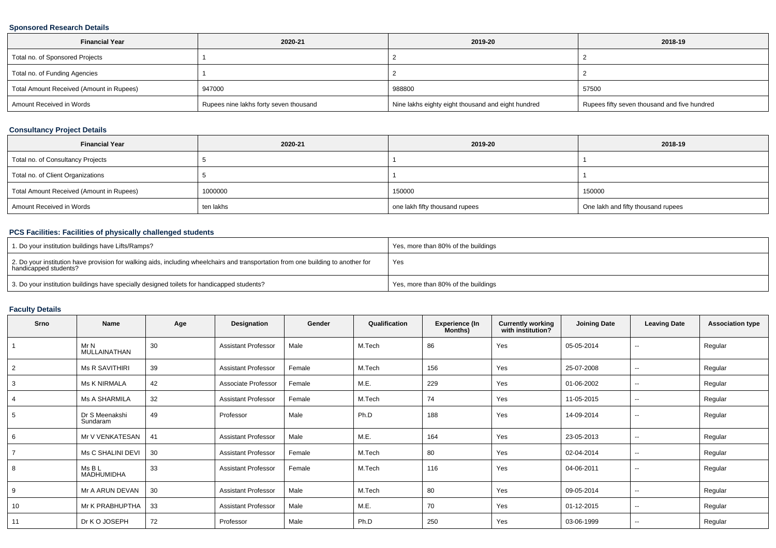### **Sponsored Research Details**

| <b>Financial Year</b>                    | 2020-21                                | 2019-20                                            | 2018-19                                      |
|------------------------------------------|----------------------------------------|----------------------------------------------------|----------------------------------------------|
| Total no. of Sponsored Projects          |                                        |                                                    |                                              |
| Total no. of Funding Agencies            |                                        |                                                    |                                              |
| Total Amount Received (Amount in Rupees) | 947000                                 | 988800                                             | 57500                                        |
| Amount Received in Words                 | Rupees nine lakhs forty seven thousand | Nine lakhs eighty eight thousand and eight hundred | Rupees fifty seven thousand and five hundred |

### **Consultancy Project Details**

| <b>Financial Year</b>                    | 2020-21   | 2019-20                        | 2018-19                            |
|------------------------------------------|-----------|--------------------------------|------------------------------------|
| Total no. of Consultancy Projects        |           |                                |                                    |
| Total no. of Client Organizations        |           |                                |                                    |
| Total Amount Received (Amount in Rupees) | 1000000   | 150000                         | 150000                             |
| Amount Received in Words                 | ten lakhs | one lakh fifty thousand rupees | One lakh and fifty thousand rupees |

## **PCS Facilities: Facilities of physically challenged students**

| 1. Do your institution buildings have Lifts/Ramps?                                                                                                         | Yes, more than 80% of the buildings |
|------------------------------------------------------------------------------------------------------------------------------------------------------------|-------------------------------------|
| 2. Do your institution have provision for walking aids, including wheelchairs and transportation from one building to another for<br>handicapped students? | Yes                                 |
| 3. Do your institution buildings have specially designed toilets for handicapped students?                                                                 | Yes, more than 80% of the buildings |

## **Faculty Details**

| Srno           | <b>Name</b>                 | Age | Designation                | Gender | Qualification | <b>Experience (In</b><br>Months) | <b>Currently working</b><br>with institution? | <b>Joining Date</b> | <b>Leaving Date</b>      | <b>Association type</b> |
|----------------|-----------------------------|-----|----------------------------|--------|---------------|----------------------------------|-----------------------------------------------|---------------------|--------------------------|-------------------------|
|                | Mr N<br>MULLAINATHAN        | 30  | <b>Assistant Professor</b> | Male   | M.Tech        | 86                               | Yes                                           | 05-05-2014          | $\sim$                   | Regular                 |
| $\overline{2}$ | <b>Ms R SAVITHIRI</b>       | 39  | <b>Assistant Professor</b> | Female | M.Tech        | 156                              | Yes                                           | 25-07-2008          | $\overline{\phantom{a}}$ | Regular                 |
| 3              | <b>Ms K NIRMALA</b>         | 42  | Associate Professor        | Female | M.E.          | 229                              | Yes                                           | 01-06-2002          | $\sim$                   | Regular                 |
| 4              | Ms A SHARMILA               | 32  | <b>Assistant Professor</b> | Female | M.Tech        | 74                               | Yes                                           | 11-05-2015          | $\sim$                   | Regular                 |
| 5              | Dr S Meenakshi<br>Sundaram  | 49  | Professor                  | Male   | Ph.D          | 188                              | Yes                                           | 14-09-2014          | $\sim$                   | Regular                 |
| 6              | Mr V VENKATESAN             | 41  | <b>Assistant Professor</b> | Male   | M.E.          | 164                              | Yes                                           | 23-05-2013          | $\overline{\phantom{a}}$ | Regular                 |
|                | Ms C SHALINI DEVI           | 30  | <b>Assistant Professor</b> | Female | M.Tech        | 80                               | Yes                                           | 02-04-2014          | $\sim$                   | Regular                 |
| 8              | Ms B L<br><b>MADHUMIDHA</b> | 33  | <b>Assistant Professor</b> | Female | M.Tech        | 116                              | Yes                                           | 04-06-2011          | $\sim$                   | Regular                 |
| 9              | Mr A ARUN DEVAN             | 30  | <b>Assistant Professor</b> | Male   | M.Tech        | 80                               | Yes                                           | 09-05-2014          | $\sim$                   | Regular                 |
| 10             | Mr K PRABHUPTHA             | 33  | <b>Assistant Professor</b> | Male   | M.E.          | 70                               | Yes                                           | 01-12-2015          | $\sim$                   | Regular                 |
| 11             | Dr K O JOSEPH               | 72  | Professor                  | Male   | Ph.D          | 250                              | Yes                                           | 03-06-1999          | $\overline{\phantom{a}}$ | Regular                 |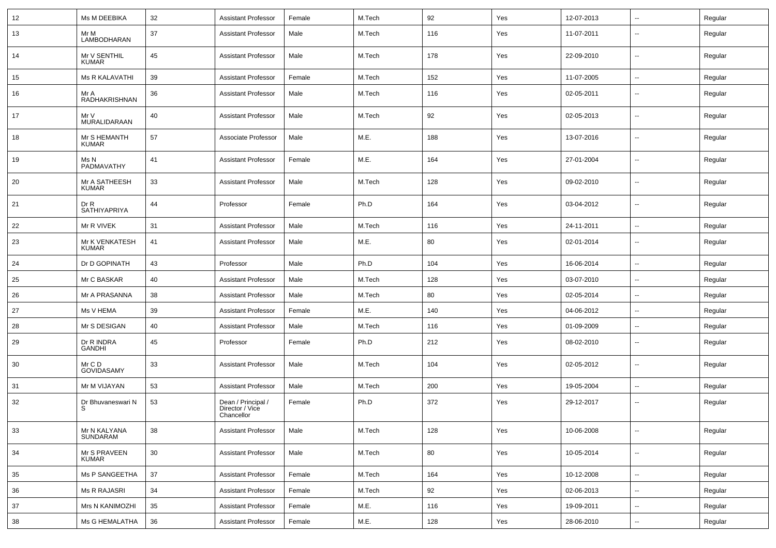| 12  | Ms M DEEBIKA                   | 32 | <b>Assistant Professor</b>                          | Female | M.Tech | 92  | Yes | 12-07-2013 | ⊷.                       | Regular |
|-----|--------------------------------|----|-----------------------------------------------------|--------|--------|-----|-----|------------|--------------------------|---------|
| 13  | Mr M<br>LAMBODHARAN            | 37 | <b>Assistant Professor</b>                          | Male   | M.Tech | 116 | Yes | 11-07-2011 | --                       | Regular |
| 14  | Mr V SENTHIL<br><b>KUMAR</b>   | 45 | <b>Assistant Professor</b>                          | Male   | M.Tech | 178 | Yes | 22-09-2010 | $\overline{\phantom{a}}$ | Regular |
| 15  | <b>Ms R KALAVATHI</b>          | 39 | <b>Assistant Professor</b>                          | Female | M.Tech | 152 | Yes | 11-07-2005 | $\overline{\phantom{a}}$ | Regular |
| 16  | Mr A<br>RADHAKRISHNAN          | 36 | <b>Assistant Professor</b>                          | Male   | M.Tech | 116 | Yes | 02-05-2011 | $\overline{\phantom{a}}$ | Regular |
| 17  | Mr V<br>MURALIDARAAN           | 40 | <b>Assistant Professor</b>                          | Male   | M.Tech | 92  | Yes | 02-05-2013 | −−                       | Regular |
| 18  | Mr S HEMANTH<br><b>KUMAR</b>   | 57 | Associate Professor                                 | Male   | M.E.   | 188 | Yes | 13-07-2016 | $\overline{\phantom{a}}$ | Regular |
| 19  | Ms N<br>PADMAVATHY             | 41 | <b>Assistant Professor</b>                          | Female | M.E.   | 164 | Yes | 27-01-2004 | ⊶.                       | Regular |
| -20 | Mr A SATHEESH<br><b>KUMAR</b>  | 33 | <b>Assistant Professor</b>                          | Male   | M.Tech | 128 | Yes | 09-02-2010 | $\overline{\phantom{a}}$ | Regular |
| 21  | Dr R<br>SATHIYAPRIYA           | 44 | Professor                                           | Female | Ph.D   | 164 | Yes | 03-04-2012 | ⊶.                       | Regular |
| 22  | Mr R VIVEK                     | 31 | <b>Assistant Professor</b>                          | Male   | M.Tech | 116 | Yes | 24-11-2011 | $\overline{\phantom{a}}$ | Regular |
| 23  | Mr K VENKATESH<br><b>KUMAR</b> | 41 | <b>Assistant Professor</b>                          | Male   | M.E.   | 80  | Yes | 02-01-2014 | --                       | Regular |
| 24  | Dr D GOPINATH                  | 43 | Professor                                           | Male   | Ph.D   | 104 | Yes | 16-06-2014 | $\overline{\phantom{a}}$ | Regular |
| 25  | Mr C BASKAR                    | 40 | <b>Assistant Professor</b>                          | Male   | M.Tech | 128 | Yes | 03-07-2010 | $\overline{\phantom{a}}$ | Regular |
| 26  | Mr A PRASANNA                  | 38 | <b>Assistant Professor</b>                          | Male   | M.Tech | 80  | Yes | 02-05-2014 | $\sim$                   | Regular |
| 27  | Ms V HEMA                      | 39 | <b>Assistant Professor</b>                          | Female | M.E.   | 140 | Yes | 04-06-2012 | ⊷.                       | Regular |
| 28  | Mr S DESIGAN                   | 40 | <b>Assistant Professor</b>                          | Male   | M.Tech | 116 | Yes | 01-09-2009 | --                       | Regular |
| 29  | Dr R INDRA<br><b>GANDHI</b>    | 45 | Professor                                           | Female | Ph.D   | 212 | Yes | 08-02-2010 | $\overline{\phantom{a}}$ | Regular |
| 30  | Mr C D<br>GOVIDASAMY           | 33 | <b>Assistant Professor</b>                          | Male   | M.Tech | 104 | Yes | 02-05-2012 | ⊷.                       | Regular |
| 31  | Mr M VIJAYAN                   | 53 | <b>Assistant Professor</b>                          | Male   | M.Tech | 200 | Yes | 19-05-2004 | $\overline{\phantom{a}}$ | Regular |
| 32  | Dr Bhuvaneswari N<br>S         | 53 | Dean / Principal /<br>Director / Vice<br>Chancellor | Female | Ph.D   | 372 | Yes | 29-12-2017 | $\overline{\phantom{a}}$ | Regular |
| 33  | Mr N KALYANA<br>SUNDARAM       | 38 | <b>Assistant Professor</b>                          | Male   | M.Tech | 128 | Yes | 10-06-2008 | ⊷                        | Regular |
| 34  | Mr S PRAVEEN<br><b>KUMAR</b>   | 30 | <b>Assistant Professor</b>                          | Male   | M.Tech | 80  | Yes | 10-05-2014 | $\overline{\phantom{a}}$ | Regular |
| 35  | Ms P SANGEETHA                 | 37 | <b>Assistant Professor</b>                          | Female | M.Tech | 164 | Yes | 10-12-2008 | $\overline{\phantom{a}}$ | Regular |
| 36  | Ms R RAJASRI                   | 34 | <b>Assistant Professor</b>                          | Female | M.Tech | 92  | Yes | 02-06-2013 | $\overline{\phantom{a}}$ | Regular |
| 37  | Mrs N KANIMOZHI                | 35 | <b>Assistant Professor</b>                          | Female | M.E.   | 116 | Yes | 19-09-2011 | Щ,                       | Regular |
| 38  | Ms G HEMALATHA                 | 36 | <b>Assistant Professor</b>                          | Female | M.E.   | 128 | Yes | 28-06-2010 | $\overline{\phantom{a}}$ | Regular |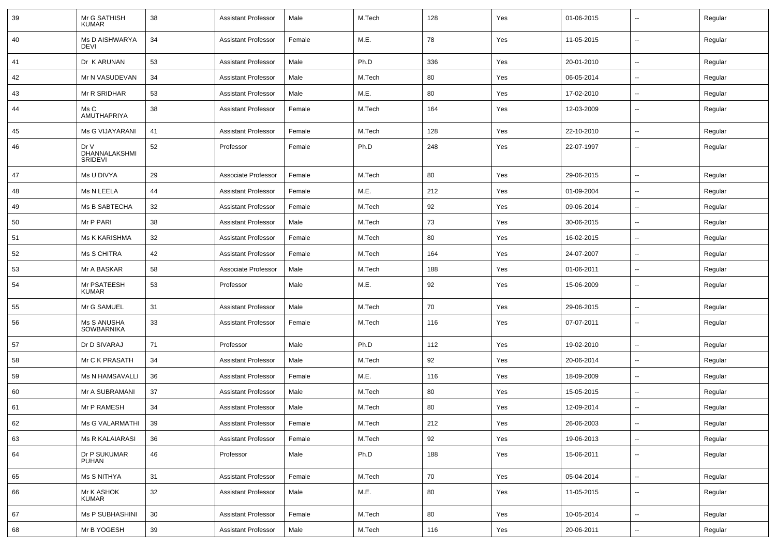| 39 | Mr G SATHISH<br><b>KUMAR</b>     | 38 | <b>Assistant Professor</b> | Male   | M.Tech | 128 | Yes | 01-06-2015 | $\overline{\phantom{a}}$ | Regular |
|----|----------------------------------|----|----------------------------|--------|--------|-----|-----|------------|--------------------------|---------|
| 40 | Ms D AISHWARYA<br><b>DEVI</b>    | 34 | <b>Assistant Professor</b> | Female | M.E.   | 78  | Yes | 11-05-2015 | $\overline{\phantom{a}}$ | Regular |
| 41 | Dr K ARUNAN                      | 53 | <b>Assistant Professor</b> | Male   | Ph.D   | 336 | Yes | 20-01-2010 | $\sim$                   | Regular |
| 42 | Mr N VASUDEVAN                   | 34 | <b>Assistant Professor</b> | Male   | M.Tech | 80  | Yes | 06-05-2014 | $\overline{\phantom{a}}$ | Regular |
| 43 | Mr R SRIDHAR                     | 53 | <b>Assistant Professor</b> | Male   | M.E.   | 80  | Yes | 17-02-2010 | $\overline{\phantom{a}}$ | Regular |
| 44 | Ms C<br>AMUTHAPRIYA              | 38 | <b>Assistant Professor</b> | Female | M.Tech | 164 | Yes | 12-03-2009 | $\overline{\phantom{a}}$ | Regular |
| 45 | Ms G VIJAYARANI                  | 41 | <b>Assistant Professor</b> | Female | M.Tech | 128 | Yes | 22-10-2010 | $\overline{\phantom{a}}$ | Regular |
| 46 | Dr V<br>DHANNALAKSHMI<br>SRIDEVI | 52 | Professor                  | Female | Ph.D   | 248 | Yes | 22-07-1997 | $\overline{\phantom{a}}$ | Regular |
| 47 | Ms U DIVYA                       | 29 | Associate Professor        | Female | M.Tech | 80  | Yes | 29-06-2015 | $\overline{\phantom{a}}$ | Regular |
| 48 | Ms N LEELA                       | 44 | <b>Assistant Professor</b> | Female | M.E.   | 212 | Yes | 01-09-2004 | $\overline{\phantom{a}}$ | Regular |
| 49 | Ms B SABTECHA                    | 32 | <b>Assistant Professor</b> | Female | M.Tech | 92  | Yes | 09-06-2014 | $\sim$                   | Regular |
| 50 | Mr P PARI                        | 38 | <b>Assistant Professor</b> | Male   | M.Tech | 73  | Yes | 30-06-2015 | $\sim$                   | Regular |
| 51 | <b>Ms K KARISHMA</b>             | 32 | <b>Assistant Professor</b> | Female | M.Tech | 80  | Yes | 16-02-2015 | $\overline{\phantom{a}}$ | Regular |
| 52 | Ms S CHITRA                      | 42 | <b>Assistant Professor</b> | Female | M.Tech | 164 | Yes | 24-07-2007 | $\overline{\phantom{a}}$ | Regular |
| 53 | Mr A BASKAR                      | 58 | Associate Professor        | Male   | M.Tech | 188 | Yes | 01-06-2011 |                          | Regular |
| 54 | Mr PSATEESH<br><b>KUMAR</b>      | 53 | Professor                  | Male   | M.E.   | 92  | Yes | 15-06-2009 | $\overline{\phantom{a}}$ | Regular |
| 55 | Mr G SAMUEL                      | 31 | <b>Assistant Professor</b> | Male   | M.Tech | 70  | Yes | 29-06-2015 | $\overline{\phantom{a}}$ | Regular |
| 56 | Ms S ANUSHA<br>SOWBARNIKA        | 33 | <b>Assistant Professor</b> | Female | M.Tech | 116 | Yes | 07-07-2011 | $\overline{\phantom{a}}$ | Regular |
| 57 | Dr D SIVARAJ                     | 71 | Professor                  | Male   | Ph.D   | 112 | Yes | 19-02-2010 | $\sim$                   | Regular |
| 58 | Mr C K PRASATH                   | 34 | <b>Assistant Professor</b> | Male   | M.Tech | 92  | Yes | 20-06-2014 | $\overline{\phantom{a}}$ | Regular |
| 59 | Ms N HAMSAVALLI                  | 36 | <b>Assistant Professor</b> | Female | M.E.   | 116 | Yes | 18-09-2009 | $\overline{\phantom{a}}$ | Regular |
| 60 | Mr A SUBRAMANI                   | 37 | Assistant Professor        | Male   | M.Tech | 80  | Yes | 15-05-2015 | $\overline{\phantom{a}}$ | Regular |
| 61 | Mr P RAMESH                      | 34 | <b>Assistant Professor</b> | Male   | M.Tech | 80  | Yes | 12-09-2014 | $\overline{\phantom{a}}$ | Regular |
| 62 | Ms G VALARMATHI                  | 39 | Assistant Professor        | Female | M.Tech | 212 | Yes | 26-06-2003 |                          | Regular |
| 63 | <b>Ms R KALAIARASI</b>           | 36 | <b>Assistant Professor</b> | Female | M.Tech | 92  | Yes | 19-06-2013 | $\overline{\phantom{a}}$ | Regular |
| 64 | Dr P SUKUMAR<br>PUHAN            | 46 | Professor                  | Male   | Ph.D   | 188 | Yes | 15-06-2011 | $\overline{\phantom{a}}$ | Regular |
| 65 | Ms S NITHYA                      | 31 | <b>Assistant Professor</b> | Female | M.Tech | 70  | Yes | 05-04-2014 | $\sim$                   | Regular |
| 66 | Mr K ASHOK<br>KUMAR              | 32 | <b>Assistant Professor</b> | Male   | M.E.   | 80  | Yes | 11-05-2015 | $\overline{\phantom{a}}$ | Regular |
| 67 | Ms P SUBHASHINI                  | 30 | <b>Assistant Professor</b> | Female | M.Tech | 80  | Yes | 10-05-2014 | $\sim$                   | Regular |
| 68 | Mr B YOGESH                      | 39 | <b>Assistant Professor</b> | Male   | M.Tech | 116 | Yes | 20-06-2011 | ۰.                       | Regular |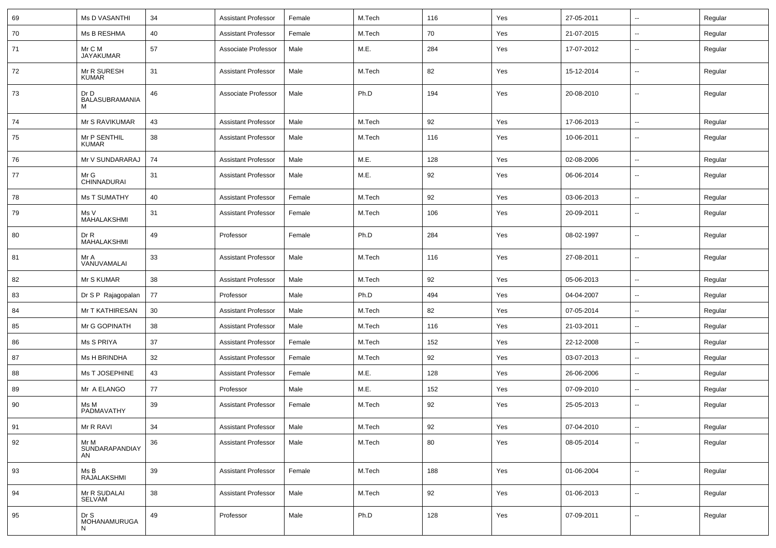| 69 | Ms D VASANTHI                      | 34 | <b>Assistant Professor</b> | Female | M.Tech | 116 | Yes | 27-05-2011 | $\overline{\phantom{a}}$ | Regular |
|----|------------------------------------|----|----------------------------|--------|--------|-----|-----|------------|--------------------------|---------|
| 70 | Ms B RESHMA                        | 40 | <b>Assistant Professor</b> | Female | M.Tech | 70  | Yes | 21-07-2015 | $\overline{\phantom{a}}$ | Regular |
| 71 | Mr C M<br><b>JAYAKUMAR</b>         | 57 | Associate Professor        | Male   | M.E.   | 284 | Yes | 17-07-2012 | --                       | Regular |
| 72 | Mr R SURESH<br><b>KUMAR</b>        | 31 | <b>Assistant Professor</b> | Male   | M.Tech | 82  | Yes | 15-12-2014 | $\overline{\phantom{a}}$ | Regular |
| 73 | Dr D<br><b>BALASUBRAMANIA</b><br>м | 46 | Associate Professor        | Male   | Ph.D   | 194 | Yes | 20-08-2010 | $\overline{\phantom{a}}$ | Regular |
| 74 | Mr S RAVIKUMAR                     | 43 | <b>Assistant Professor</b> | Male   | M.Tech | 92  | Yes | 17-06-2013 | Щ,                       | Regular |
| 75 | Mr P SENTHIL<br><b>KUMAR</b>       | 38 | <b>Assistant Professor</b> | Male   | M.Tech | 116 | Yes | 10-06-2011 | $\overline{\phantom{a}}$ | Regular |
| 76 | Mr V SUNDARARAJ                    | 74 | <b>Assistant Professor</b> | Male   | M.E.   | 128 | Yes | 02-08-2006 | $\overline{\phantom{a}}$ | Regular |
| 77 | Mr G<br>CHINNADURAI                | 31 | <b>Assistant Professor</b> | Male   | M.E.   | 92  | Yes | 06-06-2014 | --                       | Regular |
| 78 | <b>Ms T SUMATHY</b>                | 40 | <b>Assistant Professor</b> | Female | M.Tech | 92  | Yes | 03-06-2013 | $\overline{\phantom{a}}$ | Regular |
| 79 | Ms V<br>MAHALAKSHMI                | 31 | <b>Assistant Professor</b> | Female | M.Tech | 106 | Yes | 20-09-2011 | $\overline{\phantom{a}}$ | Regular |
| 80 | Dr R<br>MAHALAKSHMI                | 49 | Professor                  | Female | Ph.D   | 284 | Yes | 08-02-1997 | $\overline{\phantom{a}}$ | Regular |
| 81 | Mr A<br>VANUVAMALAI                | 33 | <b>Assistant Professor</b> | Male   | M.Tech | 116 | Yes | 27-08-2011 | $\overline{\phantom{a}}$ | Regular |
| 82 | Mr S KUMAR                         | 38 | <b>Assistant Professor</b> | Male   | M.Tech | 92  | Yes | 05-06-2013 | Щ,                       | Regular |
| 83 | Dr S P Rajagopalan                 | 77 | Professor                  | Male   | Ph.D   | 494 | Yes | 04-04-2007 | Щ,                       | Regular |
| 84 | Mr T KATHIRESAN                    | 30 | <b>Assistant Professor</b> | Male   | M.Tech | 82  | Yes | 07-05-2014 | −−                       | Regular |
| 85 | Mr G GOPINATH                      | 38 | <b>Assistant Professor</b> | Male   | M.Tech | 116 | Yes | 21-03-2011 | $\overline{\phantom{a}}$ | Regular |
| 86 | Ms S PRIYA                         | 37 | <b>Assistant Professor</b> | Female | M.Tech | 152 | Yes | 22-12-2008 | Щ,                       | Regular |
| 87 | Ms H BRINDHA                       | 32 | <b>Assistant Professor</b> | Female | M.Tech | 92  | Yes | 03-07-2013 | --                       | Regular |
| 88 | Ms T JOSEPHINE                     | 43 | <b>Assistant Professor</b> | Female | M.E.   | 128 | Yes | 26-06-2006 | $\overline{\phantom{a}}$ | Regular |
| 89 | Mr A ELANGO                        | 77 | Professor                  | Male   | M.E.   | 152 | Yes | 07-09-2010 | ц.                       | Regular |
| 90 | Ms M<br>PADMAVATHY                 | 39 | <b>Assistant Professor</b> | Female | M.Tech | 92  | Yes | 25-05-2013 | $\overline{\phantom{a}}$ | Regular |
| 91 | Mr R RAVI                          | 34 | <b>Assistant Professor</b> | Male   | M.Tech | 92  | Yes | 07-04-2010 | $\sim$                   | Regular |
| 92 | Mr M<br>SUNDARAPANDIAY<br>AN       | 36 | Assistant Professor        | Male   | M.Tech | 80  | Yes | 08-05-2014 | Щ,                       | Regular |
| 93 | Ms B<br>RAJALAKSHMI                | 39 | <b>Assistant Professor</b> | Female | M.Tech | 188 | Yes | 01-06-2004 | $\overline{\phantom{a}}$ | Regular |
| 94 | Mr R SUDALAI<br>SELVAM             | 38 | <b>Assistant Professor</b> | Male   | M.Tech | 92  | Yes | 01-06-2013 | $\overline{\phantom{a}}$ | Regular |
| 95 | Dr S<br>MOHANAMURUGA               | 49 | Professor                  | Male   | Ph.D   | 128 | Yes | 07-09-2011 | Щ,                       | Regular |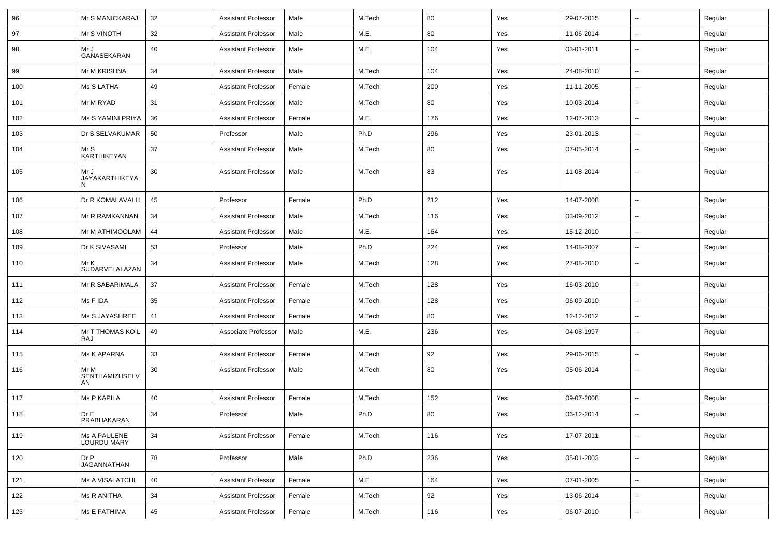| 96  | Mr S MANICKARAJ              | 32 | <b>Assistant Professor</b> | Male   | M.Tech | 80  | Yes | 29-07-2015 | н.                       | Regular |
|-----|------------------------------|----|----------------------------|--------|--------|-----|-----|------------|--------------------------|---------|
| 97  | Mr S VINOTH                  | 32 | <b>Assistant Professor</b> | Male   | M.E.   | 80  | Yes | 11-06-2014 | Ξ.                       | Regular |
| 98  | Mr J<br>GANASEKARAN          | 40 | <b>Assistant Professor</b> | Male   | M.E.   | 104 | Yes | 03-01-2011 | $\overline{\phantom{a}}$ | Regular |
| 99  | Mr M KRISHNA                 | 34 | <b>Assistant Professor</b> | Male   | M.Tech | 104 | Yes | 24-08-2010 | $\overline{\phantom{a}}$ | Regular |
| 100 | Ms S LATHA                   | 49 | <b>Assistant Professor</b> | Female | M.Tech | 200 | Yes | 11-11-2005 | $\overline{\phantom{a}}$ | Regular |
| 101 | Mr M RYAD                    | 31 | <b>Assistant Professor</b> | Male   | M.Tech | 80  | Yes | 10-03-2014 | $\sim$                   | Regular |
| 102 | Ms S YAMINI PRIYA            | 36 | <b>Assistant Professor</b> | Female | M.E.   | 176 | Yes | 12-07-2013 | $\sim$                   | Regular |
| 103 | Dr S SELVAKUMAR              | 50 | Professor                  | Male   | Ph.D   | 296 | Yes | 23-01-2013 | н.                       | Regular |
| 104 | Mr S<br>KARTHIKEYAN          | 37 | <b>Assistant Professor</b> | Male   | M.Tech | 80  | Yes | 07-05-2014 | н.                       | Regular |
| 105 | Mr J<br>JAYAKARTHIKEYA<br>N  | 30 | <b>Assistant Professor</b> | Male   | M.Tech | 83  | Yes | 11-08-2014 | $\overline{\phantom{a}}$ | Regular |
| 106 | Dr R KOMALAVALLI             | 45 | Professor                  | Female | Ph.D   | 212 | Yes | 14-07-2008 | $\sim$                   | Regular |
| 107 | Mr R RAMKANNAN               | 34 | <b>Assistant Professor</b> | Male   | M.Tech | 116 | Yes | 03-09-2012 | $\overline{\phantom{a}}$ | Regular |
| 108 | Mr M ATHIMOOLAM              | 44 | <b>Assistant Professor</b> | Male   | M.E.   | 164 | Yes | 15-12-2010 | $\overline{\phantom{a}}$ | Regular |
| 109 | Dr K SIVASAMI                | 53 | Professor                  | Male   | Ph.D   | 224 | Yes | 14-08-2007 | ⊷.                       | Regular |
| 110 | Mr K<br>SUDARVELALAZAN       | 34 | <b>Assistant Professor</b> | Male   | M.Tech | 128 | Yes | 27-08-2010 | Ξ.                       | Regular |
| 111 | Mr R SABARIMALA              | 37 | <b>Assistant Professor</b> | Female | M.Tech | 128 | Yes | 16-03-2010 | $\sim$                   | Regular |
| 112 | Ms F IDA                     | 35 | <b>Assistant Professor</b> | Female | M.Tech | 128 | Yes | 06-09-2010 | $\sim$                   | Regular |
| 113 | Ms S JAYASHREE               | 41 | <b>Assistant Professor</b> | Female | M.Tech | 80  | Yes | 12-12-2012 | ⊷.                       | Regular |
| 114 | Mr T THOMAS KOIL<br>RAJ      | 49 | Associate Professor        | Male   | M.E.   | 236 | Yes | 04-08-1997 | $\overline{\phantom{a}}$ | Regular |
| 115 | Ms K APARNA                  | 33 | <b>Assistant Professor</b> | Female | M.Tech | 92  | Yes | 29-06-2015 | $\sim$                   | Regular |
| 116 | Mr M<br>SENTHAMIZHSELV<br>AN | 30 | <b>Assistant Professor</b> | Male   | M.Tech | 80  | Yes | 05-06-2014 | --                       | Regular |
| 117 | Ms P KAPILA                  | 40 | <b>Assistant Professor</b> | Female | M.Tech | 152 | Yes | 09-07-2008 | Ξ.                       | Regular |
| 118 | DrE<br>PRABHAKARAN           | 34 | Professor                  | Male   | Ph.D   | 80  | Yes | 06-12-2014 | --                       | Regular |
| 119 | Ms A PAULENE<br>LOURDU MARY  | 34 | <b>Assistant Professor</b> | Female | M.Tech | 116 | Yes | 17-07-2011 | $\overline{\phantom{a}}$ | Regular |
| 120 | DrP<br>JAGANNATHAN           | 78 | Professor                  | Male   | Ph.D   | 236 | Yes | 05-01-2003 | Ξ.                       | Regular |
| 121 | <b>Ms A VISALATCHI</b>       | 40 | <b>Assistant Professor</b> | Female | M.E.   | 164 | Yes | 07-01-2005 | $\overline{\phantom{a}}$ | Regular |
| 122 | Ms R ANITHA                  | 34 | <b>Assistant Professor</b> | Female | M.Tech | 92  | Yes | 13-06-2014 | -−                       | Regular |
| 123 | Ms E FATHIMA                 | 45 | <b>Assistant Professor</b> | Female | M.Tech | 116 | Yes | 06-07-2010 | $\sim$                   | Regular |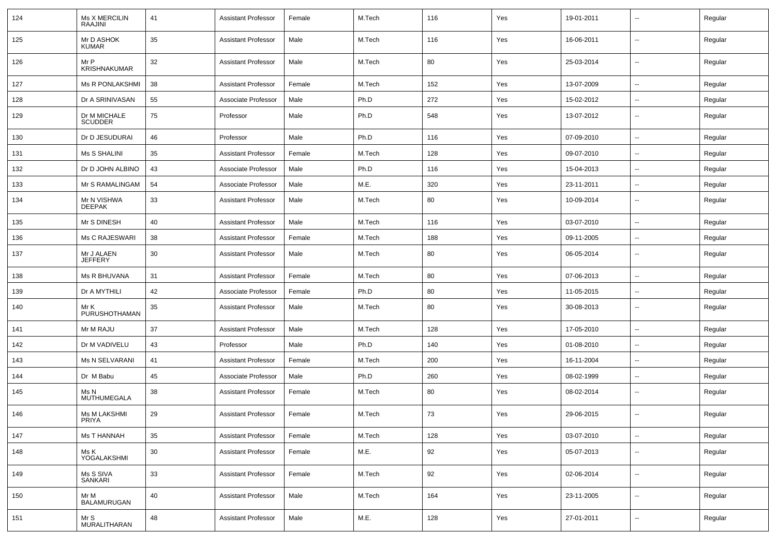| 124 | <b>Ms X MERCILIN</b><br>RAAJINI | 41 | <b>Assistant Professor</b> | Female | M.Tech | 116 | Yes | 19-01-2011 | $\overline{\phantom{a}}$ | Regular |
|-----|---------------------------------|----|----------------------------|--------|--------|-----|-----|------------|--------------------------|---------|
| 125 | Mr D ASHOK<br><b>KUMAR</b>      | 35 | <b>Assistant Professor</b> | Male   | M.Tech | 116 | Yes | 16-06-2011 | $\sim$                   | Regular |
| 126 | Mr P<br><b>KRISHNAKUMAR</b>     | 32 | <b>Assistant Professor</b> | Male   | M.Tech | 80  | Yes | 25-03-2014 | $\sim$                   | Regular |
| 127 | <b>Ms R PONLAKSHMI</b>          | 38 | <b>Assistant Professor</b> | Female | M.Tech | 152 | Yes | 13-07-2009 | $\sim$                   | Regular |
| 128 | Dr A SRINIVASAN                 | 55 | Associate Professor        | Male   | Ph.D   | 272 | Yes | 15-02-2012 | ⊷.                       | Regular |
| 129 | Dr M MICHALE<br><b>SCUDDER</b>  | 75 | Professor                  | Male   | Ph.D   | 548 | Yes | 13-07-2012 | $\overline{\phantom{a}}$ | Regular |
| 130 | Dr D JESUDURAI                  | 46 | Professor                  | Male   | Ph.D   | 116 | Yes | 07-09-2010 | $\overline{\phantom{a}}$ | Regular |
| 131 | Ms S SHALINI                    | 35 | <b>Assistant Professor</b> | Female | M.Tech | 128 | Yes | 09-07-2010 | ⊷.                       | Regular |
| 132 | Dr D JOHN ALBINO                | 43 | Associate Professor        | Male   | Ph.D   | 116 | Yes | 15-04-2013 | $\sim$                   | Regular |
| 133 | Mr S RAMALINGAM                 | 54 | Associate Professor        | Male   | M.E.   | 320 | Yes | 23-11-2011 | $\overline{\phantom{a}}$ | Regular |
| 134 | Mr N VISHWA<br><b>DEEPAK</b>    | 33 | <b>Assistant Professor</b> | Male   | M.Tech | 80  | Yes | 10-09-2014 | $\overline{\phantom{a}}$ | Regular |
| 135 | Mr S DINESH                     | 40 | <b>Assistant Professor</b> | Male   | M.Tech | 116 | Yes | 03-07-2010 | ⊷.                       | Regular |
| 136 | Ms C RAJESWARI                  | 38 | <b>Assistant Professor</b> | Female | M.Tech | 188 | Yes | 09-11-2005 | --                       | Regular |
| 137 | Mr J ALAEN<br>JEFFERY           | 30 | <b>Assistant Professor</b> | Male   | M.Tech | 80  | Yes | 06-05-2014 | --                       | Regular |
| 138 | Ms R BHUVANA                    | 31 | <b>Assistant Professor</b> | Female | M.Tech | 80  | Yes | 07-06-2013 | $\overline{\phantom{a}}$ | Regular |
| 139 | Dr A MYTHILI                    | 42 | Associate Professor        | Female | Ph.D   | 80  | Yes | 11-05-2015 | $\overline{\phantom{a}}$ | Regular |
| 140 | Mr K<br>PURUSHOTHAMAN           | 35 | <b>Assistant Professor</b> | Male   | M.Tech | 80  | Yes | 30-08-2013 | $\overline{\phantom{a}}$ | Regular |
| 141 | Mr M RAJU                       | 37 | <b>Assistant Professor</b> | Male   | M.Tech | 128 | Yes | 17-05-2010 | $\sim$                   | Regular |
| 142 | Dr M VADIVELU                   | 43 | Professor                  | Male   | Ph.D   | 140 | Yes | 01-08-2010 | $\sim$                   | Regular |
| 143 | Ms N SELVARANI                  | 41 | <b>Assistant Professor</b> | Female | M.Tech | 200 | Yes | 16-11-2004 | $\overline{\phantom{a}}$ | Regular |
| 144 | Dr M Babu                       | 45 | Associate Professor        | Male   | Ph.D   | 260 | Yes | 08-02-1999 | $\overline{\phantom{a}}$ | Regular |
| 145 | Ms N<br>MUTHUMEGALA             | 38 | <b>Assistant Professor</b> | Female | M.Tech | 80  | Yes | 08-02-2014 | $\overline{\phantom{a}}$ | Regular |
| 146 | Ms M LAKSHMI<br>PRIYA           | 29 | <b>Assistant Professor</b> | Female | M.Tech | 73  | Yes | 29-06-2015 | --                       | Regular |
| 147 | Ms T HANNAH                     | 35 | <b>Assistant Professor</b> | Female | M.Tech | 128 | Yes | 03-07-2010 | Щ,                       | Regular |
| 148 | Ms K<br>YOGALAKSHMI             | 30 | <b>Assistant Professor</b> | Female | M.E.   | 92  | Yes | 05-07-2013 | $\overline{\phantom{a}}$ | Regular |
| 149 | Ms S SIVA<br>SANKARI            | 33 | <b>Assistant Professor</b> | Female | M.Tech | 92  | Yes | 02-06-2014 | $\sim$                   | Regular |
| 150 | Mr M<br><b>BALAMURUGAN</b>      | 40 | <b>Assistant Professor</b> | Male   | M.Tech | 164 | Yes | 23-11-2005 | Ξ.                       | Regular |
| 151 | Mr S<br>MURALITHARAN            | 48 | <b>Assistant Professor</b> | Male   | M.E.   | 128 | Yes | 27-01-2011 | $\sim$                   | Regular |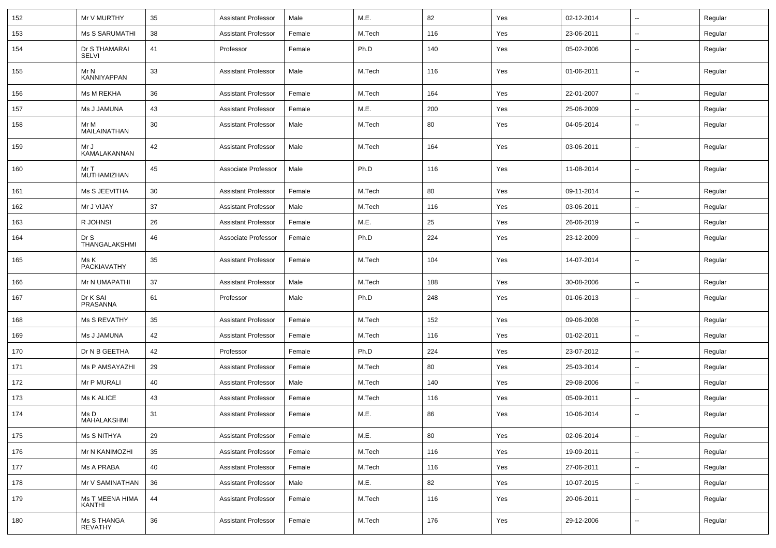| 152 | Mr V MURTHY                      | 35 | <b>Assistant Professor</b> | Male   | M.E.   | 82  | Yes | 02-12-2014 | $\overline{\phantom{a}}$ | Regular |
|-----|----------------------------------|----|----------------------------|--------|--------|-----|-----|------------|--------------------------|---------|
| 153 | <b>Ms S SARUMATHI</b>            | 38 | <b>Assistant Professor</b> | Female | M.Tech | 116 | Yes | 23-06-2011 | $\sim$                   | Regular |
| 154 | Dr S THAMARAI<br><b>SELVI</b>    | 41 | Professor                  | Female | Ph.D   | 140 | Yes | 05-02-2006 | $\sim$                   | Regular |
| 155 | Mr N<br><b>KANNIYAPPAN</b>       | 33 | <b>Assistant Professor</b> | Male   | M.Tech | 116 | Yes | 01-06-2011 | $\sim$                   | Regular |
| 156 | Ms M REKHA                       | 36 | <b>Assistant Professor</b> | Female | M.Tech | 164 | Yes | 22-01-2007 | $\overline{\phantom{a}}$ | Regular |
| 157 | Ms J JAMUNA                      | 43 | <b>Assistant Professor</b> | Female | M.E.   | 200 | Yes | 25-06-2009 | $\overline{\phantom{a}}$ | Regular |
| 158 | Mr M<br>MAILAINATHAN             | 30 | Assistant Professor        | Male   | M.Tech | 80  | Yes | 04-05-2014 | $\overline{\phantom{a}}$ | Regular |
| 159 | Mr J<br>KAMALAKANNAN             | 42 | <b>Assistant Professor</b> | Male   | M.Tech | 164 | Yes | 03-06-2011 | $\overline{\phantom{a}}$ | Regular |
| 160 | Mr T<br>MUTHAMIZHAN              | 45 | Associate Professor        | Male   | Ph.D   | 116 | Yes | 11-08-2014 | $\overline{\phantom{a}}$ | Regular |
| 161 | Ms S JEEVITHA                    | 30 | <b>Assistant Professor</b> | Female | M.Tech | 80  | Yes | 09-11-2014 | $\overline{\phantom{a}}$ | Regular |
| 162 | Mr J VIJAY                       | 37 | <b>Assistant Professor</b> | Male   | M.Tech | 116 | Yes | 03-06-2011 | $\overline{\phantom{a}}$ | Regular |
| 163 | R JOHNSI                         | 26 | <b>Assistant Professor</b> | Female | M.E.   | 25  | Yes | 26-06-2019 | $\sim$                   | Regular |
| 164 | Dr S<br>THANGALAKSHMI            | 46 | Associate Professor        | Female | Ph.D   | 224 | Yes | 23-12-2009 | $\sim$                   | Regular |
| 165 | Ms K<br>PACKIAVATHY              | 35 | <b>Assistant Professor</b> | Female | M.Tech | 104 | Yes | 14-07-2014 | $\sim$                   | Regular |
| 166 | Mr N UMAPATHI                    | 37 | <b>Assistant Professor</b> | Male   | M.Tech | 188 | Yes | 30-08-2006 | ⊷.                       | Regular |
| 167 | Dr K SAI<br>PRASANNA             | 61 | Professor                  | Male   | Ph.D   | 248 | Yes | 01-06-2013 | --                       | Regular |
| 168 | Ms S REVATHY                     | 35 | <b>Assistant Professor</b> | Female | M.Tech | 152 | Yes | 09-06-2008 | $\overline{\phantom{a}}$ | Regular |
| 169 | Ms J JAMUNA                      | 42 | <b>Assistant Professor</b> | Female | M.Tech | 116 | Yes | 01-02-2011 |                          | Regular |
| 170 | Dr N B GEETHA                    | 42 | Professor                  | Female | Ph.D   | 224 | Yes | 23-07-2012 | $\overline{\phantom{a}}$ | Regular |
| 171 | Ms P AMSAYAZHI                   | 29 | <b>Assistant Professor</b> | Female | M.Tech | 80  | Yes | 25-03-2014 |                          | Regular |
| 172 | Mr P MURALI                      | 40 | <b>Assistant Professor</b> | Male   | M.Tech | 140 | Yes | 29-08-2006 | $\sim$                   | Regular |
| 173 | Ms K ALICE                       | 43 | <b>Assistant Professor</b> | Female | M.Tech | 116 | Yes | 05-09-2011 | $\sim$                   | Regular |
| 174 | Ms D<br>MAHALAKSHMI              | 31 | <b>Assistant Professor</b> | Female | M.E.   | 86  | Yes | 10-06-2014 | --                       | Regular |
| 175 | Ms S NITHYA                      | 29 | Assistant Professor        | Female | M.E.   | 80  | Yes | 02-06-2014 | -−                       | Regular |
| 176 | Mr N KANIMOZHI                   | 35 | <b>Assistant Professor</b> | Female | M.Tech | 116 | Yes | 19-09-2011 | $\overline{\phantom{a}}$ | Regular |
| 177 | Ms A PRABA                       | 40 | <b>Assistant Professor</b> | Female | M.Tech | 116 | Yes | 27-06-2011 | $\overline{\phantom{a}}$ | Regular |
| 178 | Mr V SAMINATHAN                  | 36 | <b>Assistant Professor</b> | Male   | M.E.   | 82  | Yes | 10-07-2015 | $\overline{\phantom{a}}$ | Regular |
| 179 | Ms T MEENA HIMA<br><b>KANTHI</b> | 44 | Assistant Professor        | Female | M.Tech | 116 | Yes | 20-06-2011 | $\sim$                   | Regular |
| 180 | Ms S THANGA<br><b>REVATHY</b>    | 36 | <b>Assistant Professor</b> | Female | M.Tech | 176 | Yes | 29-12-2006 | $\sim$                   | Regular |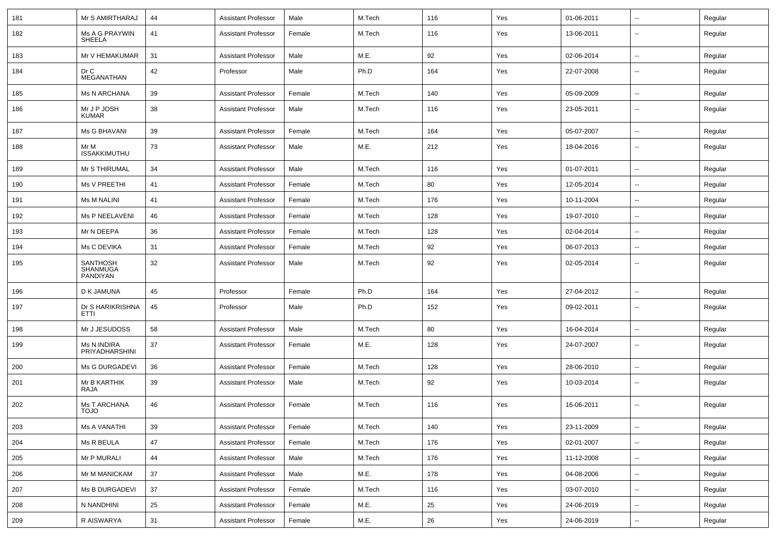| 181 | Mr S AMIRTHARAJ                         | 44 | <b>Assistant Professor</b> | Male   | M.Tech | 116 | Yes | 01-06-2011 | $\overline{\phantom{a}}$ | Regular |
|-----|-----------------------------------------|----|----------------------------|--------|--------|-----|-----|------------|--------------------------|---------|
| 182 | Ms A G PRAYWIN<br>SHEELA                | 41 | <b>Assistant Professor</b> | Female | M.Tech | 116 | Yes | 13-06-2011 | --                       | Regular |
| 183 | Mr V HEMAKUMAR                          | 31 | <b>Assistant Professor</b> | Male   | M.E.   | 92  | Yes | 02-06-2014 | $\overline{\phantom{a}}$ | Regular |
| 184 | Dr C<br><b>MEGANATHAN</b>               | 42 | Professor                  | Male   | Ph.D   | 164 | Yes | 22-07-2008 | --                       | Regular |
| 185 | <b>Ms N ARCHANA</b>                     | 39 | <b>Assistant Professor</b> | Female | M.Tech | 140 | Yes | 05-09-2009 | $\overline{\phantom{a}}$ | Regular |
| 186 | Mr J P JOSH<br>KUMAR                    | 38 | <b>Assistant Professor</b> | Male   | M.Tech | 116 | Yes | 23-05-2011 | --                       | Regular |
| 187 | Ms G BHAVANI                            | 39 | <b>Assistant Professor</b> | Female | M.Tech | 164 | Yes | 05-07-2007 | $\overline{\phantom{a}}$ | Regular |
| 188 | Mr M<br><b>ISSAKKIMUTHU</b>             | 73 | <b>Assistant Professor</b> | Male   | M.E.   | 212 | Yes | 18-04-2016 | --                       | Regular |
| 189 | Mr S THIRUMAL                           | 34 | <b>Assistant Professor</b> | Male   | M.Tech | 116 | Yes | 01-07-2011 | --                       | Regular |
| 190 | Ms V PREETHI                            | 41 | <b>Assistant Professor</b> | Female | M.Tech | 80  | Yes | 12-05-2014 | $\overline{\phantom{a}}$ | Regular |
| 191 | <b>Ms M NALINI</b>                      | 41 | <b>Assistant Professor</b> | Female | M.Tech | 176 | Yes | 10-11-2004 | ⊷.                       | Regular |
| 192 | Ms P NEELAVENI                          | 46 | <b>Assistant Professor</b> | Female | M.Tech | 128 | Yes | 19-07-2010 | --                       | Regular |
| 193 | Mr N DEEPA                              | 36 | <b>Assistant Professor</b> | Female | M.Tech | 128 | Yes | 02-04-2014 | --                       | Regular |
| 194 | Ms C DEVIKA                             | 31 | <b>Assistant Professor</b> | Female | M.Tech | 92  | Yes | 06-07-2013 | --                       | Regular |
| 195 | <b>SANTHOSH</b><br>SHANMUGA<br>PANDIYAN | 32 | <b>Assistant Professor</b> | Male   | M.Tech | 92  | Yes | 02-05-2014 | --                       | Regular |
| 196 | D K JAMUNA                              | 45 | Professor                  | Female | Ph.D   | 164 | Yes | 27-04-2012 | $\overline{\phantom{a}}$ | Regular |
| 197 | Dr S HARIKRISHNA<br>ETTI                | 45 | Professor                  | Male   | Ph.D   | 152 | Yes | 09-02-2011 | $\overline{\phantom{a}}$ | Regular |
| 198 | Mr J JESUDOSS                           | 58 | <b>Assistant Professor</b> | Male   | M.Tech | 80  | Yes | 16-04-2014 | --                       | Regular |
| 199 | Ms N INDIRA<br>PRIYADHARSHINI           | 37 | <b>Assistant Professor</b> | Female | M.E.   | 128 | Yes | 24-07-2007 | $\overline{\phantom{a}}$ | Regular |
| 200 | Ms G DURGADEVI                          | 36 | <b>Assistant Professor</b> | Female | M.Tech | 128 | Yes | 28-06-2010 | $\overline{\phantom{a}}$ | Regular |
| 201 | Mr B KARTHIK<br>RAJA                    | 39 | <b>Assistant Professor</b> | Male   | M.Tech | 92  | Yes | 10-03-2014 | $\overline{\phantom{a}}$ | Regular |
| 202 | <b>Ms T ARCHANA</b><br><b>OLOT</b>      | 46 | <b>Assistant Professor</b> | Female | M.Tech | 116 | Yes | 16-06-2011 | $\overline{\phantom{a}}$ | Regular |
| 203 | <b>Ms A VANATHI</b>                     | 39 | Assistant Professor        | Female | M.Tech | 140 | Yes | 23-11-2009 | $\sim$                   | Regular |
| 204 | Ms R BEULA                              | 47 | <b>Assistant Professor</b> | Female | M.Tech | 176 | Yes | 02-01-2007 | $\overline{\phantom{a}}$ | Regular |
| 205 | Mr P MURALI                             | 44 | <b>Assistant Professor</b> | Male   | M.Tech | 176 | Yes | 11-12-2008 | $\sim$                   | Regular |
| 206 | Mr M MANICKAM                           | 37 | <b>Assistant Professor</b> | Male   | M.E.   | 178 | Yes | 04-08-2006 | $\overline{\phantom{a}}$ | Regular |
| 207 | Ms B DURGADEVI                          | 37 | <b>Assistant Professor</b> | Female | M.Tech | 116 | Yes | 03-07-2010 | $\overline{\phantom{a}}$ | Regular |
| 208 | N NANDHINI                              | 25 | <b>Assistant Professor</b> | Female | M.E.   | 25  | Yes | 24-06-2019 | Щ,                       | Regular |
| 209 | R AISWARYA                              | 31 | <b>Assistant Professor</b> | Female | M.E.   | 26  | Yes | 24-06-2019 | $\overline{\phantom{a}}$ | Regular |